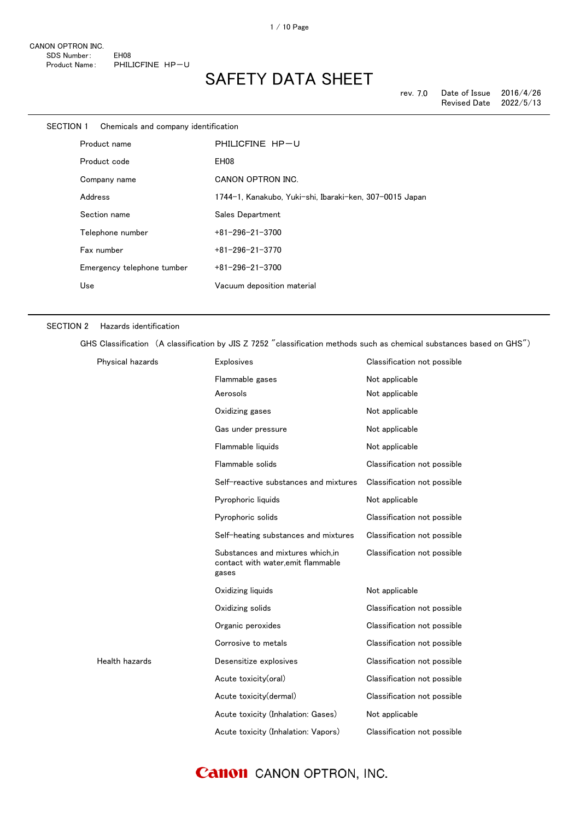| SECTION 1 | Chemicals and company identification |                                                         |
|-----------|--------------------------------------|---------------------------------------------------------|
|           | Product name                         | PHILICFINE HP-U                                         |
|           | Product code                         | EH <sub>08</sub>                                        |
|           | Company name                         | CANON OPTRON INC.                                       |
|           | Address                              | 1744-1, Kanakubo, Yuki-shi, Ibaraki-ken, 307-0015 Japan |
|           | Section name                         | Sales Department                                        |
|           | Telephone number                     | $+81 - 296 - 21 - 3700$                                 |
|           | Fax number                           | $+81 - 296 - 21 - 3770$                                 |
|           | Emergency telephone tumber           | $+81 - 296 - 21 - 3700$                                 |
| Use       |                                      | Vacuum deposition material                              |

#### SECTION 2 Hazards identification

GHS Classification (A classification by JIS Z 7252 "classification methods such as chemical substances based on GHS")

| Physical hazards | Explosives                                                                       | Classification not possible |
|------------------|----------------------------------------------------------------------------------|-----------------------------|
|                  | Flammable gases                                                                  | Not applicable              |
|                  | Aerosols                                                                         | Not applicable              |
|                  | Oxidizing gases                                                                  | Not applicable              |
|                  | Gas under pressure                                                               | Not applicable              |
|                  | Flammable liquids                                                                | Not applicable              |
|                  | Flammable solids                                                                 | Classification not possible |
|                  | Self-reactive substances and mixtures                                            | Classification not possible |
|                  | Pyrophoric liquids                                                               | Not applicable              |
|                  | Pyrophoric solids                                                                | Classification not possible |
|                  | Self-heating substances and mixtures                                             | Classification not possible |
|                  | Substances and mixtures which, in<br>contact with water, emit flammable<br>gases | Classification not possible |
|                  | Oxidizing liquids                                                                | Not applicable              |
|                  | Oxidizing solids                                                                 | Classification not possible |
|                  | Organic peroxides                                                                | Classification not possible |
|                  | Corrosive to metals                                                              | Classification not possible |
| Health hazards   | Desensitize explosives                                                           | Classification not possible |
|                  | Acute toxicity(oral)                                                             | Classification not possible |
|                  | Acute toxicity(dermal)                                                           | Classification not possible |
|                  | Acute toxicity (Inhalation: Gases)                                               | Not applicable              |
|                  | Acute toxicity (Inhalation: Vapors)                                              | Classification not possible |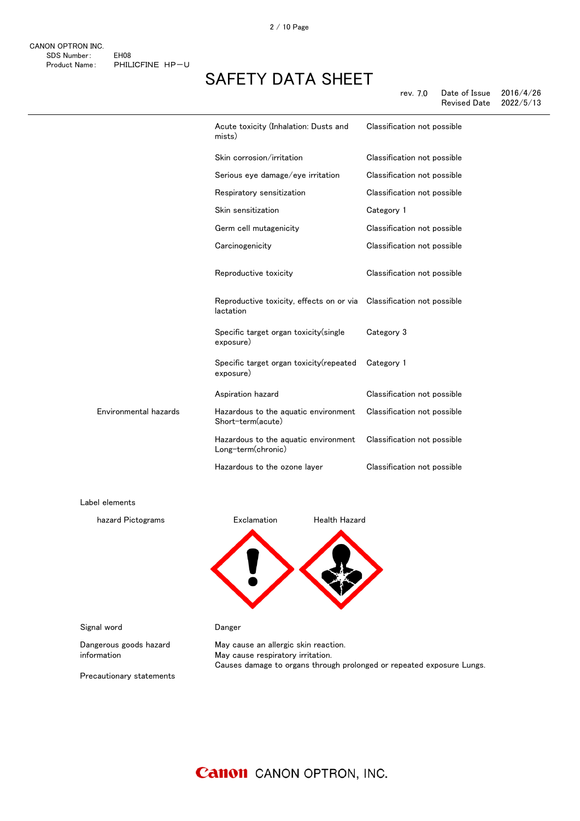rev. 7.0 Date of Issue 2016/4/26 Revised Date

|                       | Acute toxicity (Inhalation: Dusts and<br>mists)            | Classification not possible |
|-----------------------|------------------------------------------------------------|-----------------------------|
|                       | Skin corrosion/irritation                                  | Classification not possible |
|                       | Serious eye damage/eye irritation                          | Classification not possible |
|                       | Respiratory sensitization                                  | Classification not possible |
|                       | Skin sensitization                                         | Category 1                  |
|                       | Germ cell mutagenicity                                     | Classification not possible |
|                       | Carcinogenicity                                            | Classification not possible |
|                       | Reproductive toxicity                                      | Classification not possible |
|                       | Reproductive toxicity, effects on or via<br>lactation      | Classification not possible |
|                       | Specific target organ toxicity (single<br>exposure)        | Category 3                  |
|                       | Specific target organ toxicity (repeated<br>exposure)      | Category 1                  |
|                       | Aspiration hazard                                          | Classification not possible |
| Environmental hazards | Hazardous to the aquatic environment<br>Short-term(acute)  | Classification not possible |
|                       | Hazardous to the aquatic environment<br>Long-term(chronic) | Classification not possible |
|                       | Hazardous to the ozone layer                               | Classification not possible |
|                       |                                                            |                             |



Dangerous goods hazard information

Label elements

May cause an allergic skin reaction. May cause respiratory irritation. Causes damage to organs through prolonged or repeated exposure Lungs.

Precautionary statements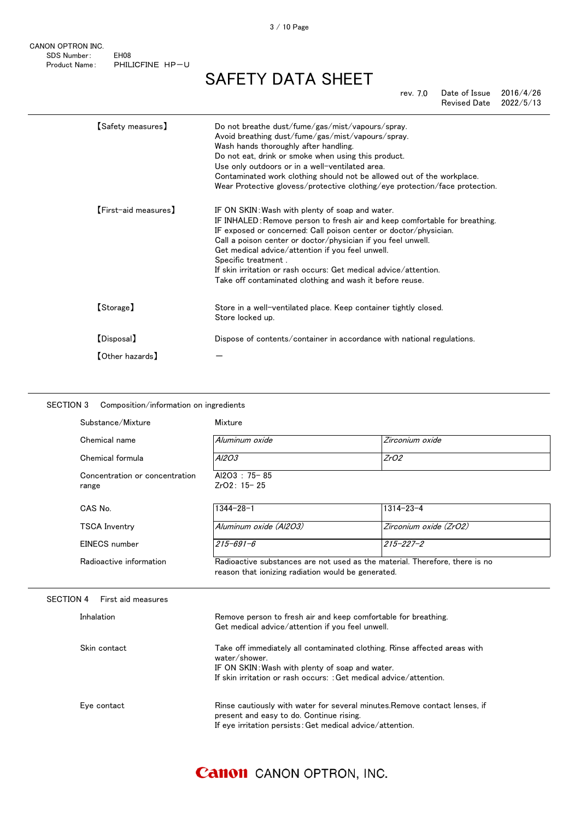CANON OPTRON INC. SDS Number: EH08 Product Name: PHILICFINE HP-U

### SAFETY DATA SHEET

rev. 7.0 Date of Issue 2016/4/26 Revised Date 2022/5/13

| [Safety measures]      | Do not breathe dust/fume/gas/mist/vapours/spray.<br>Avoid breathing dust/fume/gas/mist/vapours/spray.<br>Wash hands thoroughly after handling.<br>Do not eat, drink or smoke when using this product.<br>Use only outdoors or in a well-ventilated area.<br>Contaminated work clothing should not be allowed out of the workplace.<br>Wear Protective glovess/protective clothing/eye protection/face protection.                                                            |
|------------------------|------------------------------------------------------------------------------------------------------------------------------------------------------------------------------------------------------------------------------------------------------------------------------------------------------------------------------------------------------------------------------------------------------------------------------------------------------------------------------|
| [First-aid measures]   | IF ON SKIN: Wash with plenty of soap and water.<br>IF INHALED: Remove person to fresh air and keep comfortable for breathing.<br>IF exposed or concerned: Call poison center or doctor/physician.<br>Call a poison center or doctor/physician if you feel unwell.<br>Get medical advice/attention if you feel unwell.<br>Specific treatment.<br>If skin irritation or rash occurs: Get medical advice/attention.<br>Take off contaminated clothing and wash it before reuse. |
| [Storage]              | Store in a well-ventilated place. Keep container tightly closed.<br>Store locked up.                                                                                                                                                                                                                                                                                                                                                                                         |
| [Disposal]             | Dispose of contents/container in accordance with national regulations.                                                                                                                                                                                                                                                                                                                                                                                                       |
| <b>[Other hazards]</b> |                                                                                                                                                                                                                                                                                                                                                                                                                                                                              |

### SECTION 3 Composition/information on ingredients

| Substance/Mixture                       | Mixture                                            |                                                                             |
|-----------------------------------------|----------------------------------------------------|-----------------------------------------------------------------------------|
| Chemical name                           | Aluminum oxide                                     | Zirconium oxide                                                             |
| Chemical formula                        | A <sub>1203</sub>                                  | ZrO2                                                                        |
| Concentration or concentration<br>range | Al2O3: 75-85<br>$ZrO2: 15-25$                      |                                                                             |
| CAS No.                                 | $1344 - 28 - 1$                                    | $1314 - 23 - 4$                                                             |
| TSCA Inventry                           | Aluminum oxide (Al2O3)                             | Zirconium oxide (ZrO2)                                                      |
| EINECS number                           | $215 - 691 - 6$                                    | $215 - 227 - 2$                                                             |
| Radioactive information                 | reason that ionizing radiation would be generated. | Radioactive substances are not used as the material. Therefore, there is no |

SECTION 4 First aid measures

| <b>Inhalation</b> | Remove person to fresh air and keep comfortable for breathing.<br>Get medical advice/attention if you feel unwell.                                                                                                  |
|-------------------|---------------------------------------------------------------------------------------------------------------------------------------------------------------------------------------------------------------------|
| Skin contact      | Take off immediately all contaminated clothing. Rinse affected areas with<br>water/shower.<br>IF ON SKIN: Wash with plenty of soap and water.<br>If skin irritation or rash occurs: : Get medical advice/attention. |
| Eve contact       | Rinse cautiously with water for several minutes. Remove contact lenses, if<br>present and easy to do. Continue rising.<br>If eye irritation persists: Get medical advice/attention.                                 |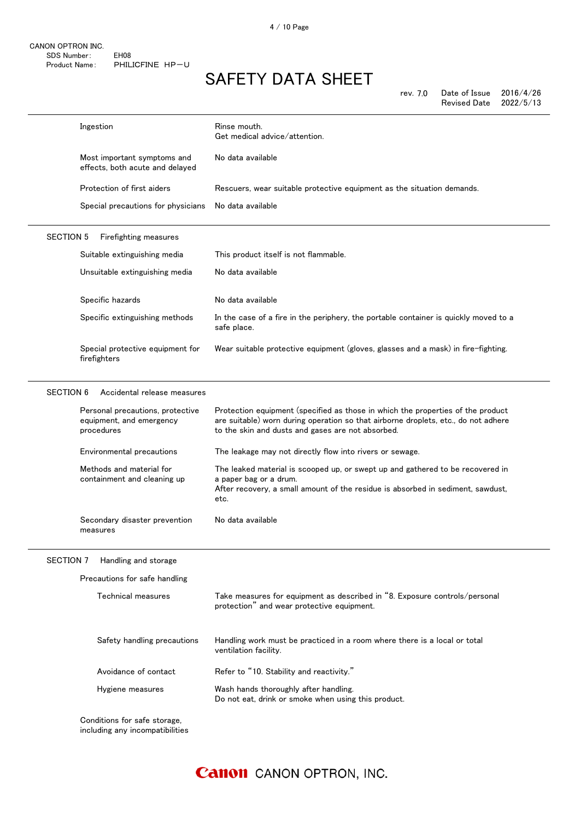| rev. 7.0 | Date of Issue | 2016/4/26 |
|----------|---------------|-----------|
|          | Revised Date  | 2022/5/13 |

|                  | Ingestion                                                                  | Rinse mouth.<br>Get medical advice/attention.                                                                                                                                                                              |
|------------------|----------------------------------------------------------------------------|----------------------------------------------------------------------------------------------------------------------------------------------------------------------------------------------------------------------------|
|                  | Most important symptoms and<br>effects, both acute and delayed             | No data available                                                                                                                                                                                                          |
|                  | Protection of first aiders                                                 | Rescuers, wear suitable protective equipment as the situation demands.                                                                                                                                                     |
|                  | Special precautions for physicians                                         | No data available                                                                                                                                                                                                          |
| <b>SECTION 5</b> | Firefighting measures                                                      |                                                                                                                                                                                                                            |
|                  | Suitable extinguishing media                                               | This product itself is not flammable.                                                                                                                                                                                      |
|                  | Unsuitable extinguishing media                                             | No data available                                                                                                                                                                                                          |
|                  | Specific hazards                                                           | No data available                                                                                                                                                                                                          |
|                  | Specific extinguishing methods                                             | In the case of a fire in the periphery, the portable container is quickly moved to a<br>safe place.                                                                                                                        |
|                  | Special protective equipment for<br>firefighters                           | Wear suitable protective equipment (gloves, glasses and a mask) in fire-fighting.                                                                                                                                          |
| <b>SECTION 6</b> | Accidental release measures                                                |                                                                                                                                                                                                                            |
|                  | Personal precautions, protective<br>equipment, and emergency<br>procedures | Protection equipment (specified as those in which the properties of the product<br>are suitable) worn during operation so that airborne droplets, etc., do not adhere<br>to the skin and dusts and gases are not absorbed. |
|                  | Environmental precautions                                                  | The leakage may not directly flow into rivers or sewage.                                                                                                                                                                   |
|                  | Methods and material for<br>containment and cleaning up                    | The leaked material is scooped up, or swept up and gathered to be recovered in<br>a paper bag or a drum.<br>After recovery, a small amount of the residue is absorbed in sediment, sawdust,<br>etc.                        |
|                  | Secondary disaster prevention<br>measures                                  | No data available                                                                                                                                                                                                          |
| SECTION 7        | Handling and storage                                                       |                                                                                                                                                                                                                            |
|                  | Precautions for safe handling                                              |                                                                                                                                                                                                                            |
|                  | Technical measures                                                         | Take measures for equipment as described in "8. Exposure controls/personal<br>protection" and wear protective equipment.                                                                                                   |
|                  | Safety handling precautions                                                | Handling work must be practiced in a room where there is a local or total<br>ventilation facility.                                                                                                                         |
|                  | Avoidance of contact                                                       | Refer to "10. Stability and reactivity."                                                                                                                                                                                   |
|                  | Hygiene measures                                                           | Wash hands thoroughly after handling.<br>Do not eat, drink or smoke when using this product.                                                                                                                               |
|                  | Conditions for safe storage,<br>including any incompatibilities            |                                                                                                                                                                                                                            |

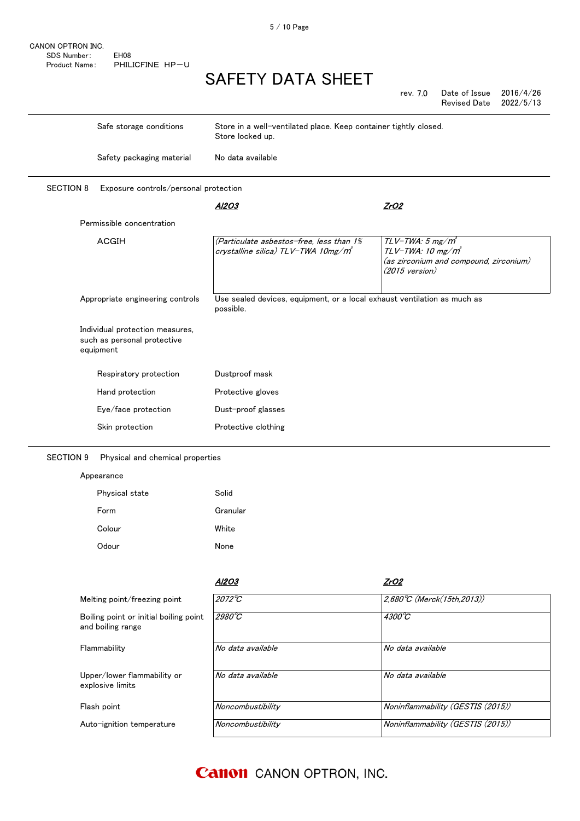CANON OPTRON INC. SDS Number: EH08 Product Name: PHILICFINE HP-U

## SAFETY DATA SHEET

|                                                                             |                                                                                       | Date of Issue<br>2016/4/26<br>rev. 7.0<br><b>Revised Date</b><br>2022/5/13                                              |
|-----------------------------------------------------------------------------|---------------------------------------------------------------------------------------|-------------------------------------------------------------------------------------------------------------------------|
| Safe storage conditions                                                     | Store in a well-ventilated place. Keep container tightly closed.<br>Store locked up.  |                                                                                                                         |
| Safety packaging material                                                   | No data available                                                                     |                                                                                                                         |
| <b>SECTION 8</b><br>Exposure controls/personal protection                   |                                                                                       |                                                                                                                         |
|                                                                             | <u>Al2O3</u>                                                                          | ZrO2                                                                                                                    |
| Permissible concentration                                                   |                                                                                       |                                                                                                                         |
| ACGIH                                                                       | (Particulate asbestos-free, less than 1%<br>crystalline silica) TLV-TWA 10mg/m        | $TLV$ -TWA: 5 mg/ $m^3$<br>$TLV$ -TWA: 10 mg/m <sup>3</sup><br>(as zirconium and compound, zirconium)<br>(2015 version) |
| Appropriate engineering controls                                            | Use sealed devices, equipment, or a local exhaust ventilation as much as<br>possible. |                                                                                                                         |
| Individual protection measures,<br>such as personal protective<br>equipment |                                                                                       |                                                                                                                         |
| Respiratory protection                                                      | Dustproof mask                                                                        |                                                                                                                         |
| Hand protection                                                             | Protective gloves                                                                     |                                                                                                                         |
| Eye/face protection                                                         | Dust-proof glasses                                                                    |                                                                                                                         |
| Skin protection                                                             | Protective clothing                                                                   |                                                                                                                         |
| <b>SECTION 9</b><br>Physical and chemical properties                        |                                                                                       |                                                                                                                         |
| Appearance                                                                  |                                                                                       |                                                                                                                         |
| Physical state                                                              | Solid                                                                                 |                                                                                                                         |
| Form                                                                        | Granular                                                                              |                                                                                                                         |
| Colour                                                                      | White                                                                                 |                                                                                                                         |
| Odour                                                                       | None                                                                                  |                                                                                                                         |
|                                                                             |                                                                                       |                                                                                                                         |
|                                                                             | <u>AI2O3</u>                                                                          | ZrO2                                                                                                                    |
| Melting point/freezing point                                                | $2072^{\circ}C$                                                                       | 2,680°C (Merck(15th,2013))                                                                                              |
| Boiling point or initial boiling point<br>and boiling range                 | $2980^{\circ}$ C                                                                      | 4300°C                                                                                                                  |
| Flammability                                                                | No data available                                                                     | No data available                                                                                                       |
| Upper/lower flammability or<br>explosive limits                             | No data available                                                                     | No data available                                                                                                       |
| Flash point                                                                 | Noncombustibility                                                                     | Noninflammability (GESTIS (2015))                                                                                       |
| Auto-ignition temperature                                                   | Noncombustibility                                                                     | Noninflammability (GESTIS (2015))                                                                                       |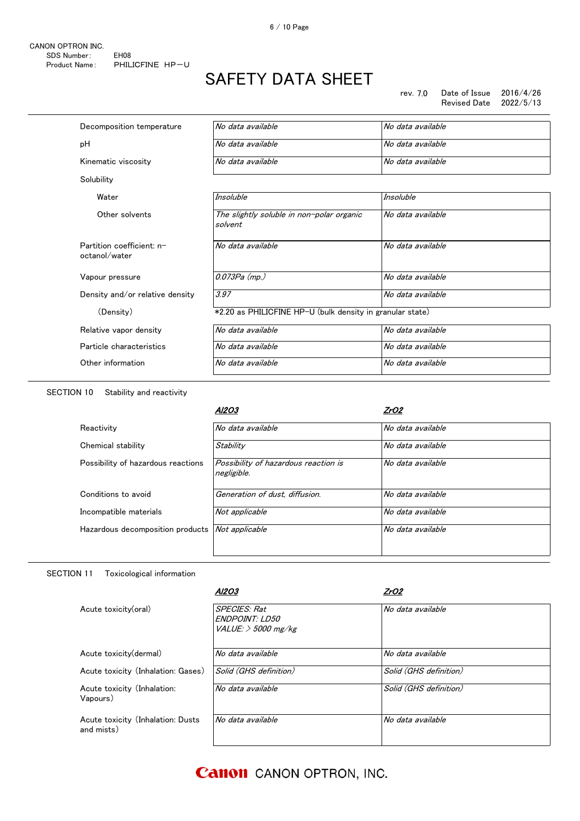| Decomposition temperature                  | No data available                                         | No data available |
|--------------------------------------------|-----------------------------------------------------------|-------------------|
| рH                                         | No data available                                         | No data available |
| Kinematic viscosity                        | No data available                                         | No data available |
| Solubility                                 |                                                           |                   |
| Water                                      | Insoluble                                                 | Insoluble         |
| Other solvents                             | The slightly soluble in non-polar organic<br>solvent      | No data available |
| Partition coefficient: n-<br>octanol/water | No data available                                         | No data available |
| Vapour pressure                            | 0.073Pa (mp.)                                             | No data available |
| Density and/or relative density            | 3.97                                                      | No data available |
| (Density)                                  | *2.20 as PHILICFINE HP-U (bulk density in granular state) |                   |
| Relative vapor density                     | No data available                                         | No data available |
| Particle characteristics                   | No data available                                         | No data available |
| Other information                          | No data available                                         | No data available |
|                                            |                                                           |                   |

SECTION 10 Stability and reactivity

|                                    | A12O3                                               | ZrO2              |
|------------------------------------|-----------------------------------------------------|-------------------|
| Reactivity                         | No data available                                   | No data available |
| Chemical stability                 | Stability                                           | No data available |
| Possibility of hazardous reactions | Possibility of hazardous reaction is<br>negligible. | No data available |
| Conditions to avoid                | Generation of dust, diffusion.                      | No data available |
| Incompatible materials             | Not applicable                                      | No data available |
| Hazardous decomposition products   | Not applicable                                      | No data available |

### SECTION 11 Toxicological information

|                                                 | A12O3                                                                 | ZrO2                   |  |
|-------------------------------------------------|-----------------------------------------------------------------------|------------------------|--|
| Acute toxicity(oral)                            | <b>SPECIES: Rat</b><br><b>ENDPOINT: LD50</b><br>VALUE: $>$ 5000 mg/kg | No data available      |  |
| Acute toxicity (dermal)                         | No data available                                                     | No data available      |  |
| Acute toxicity (Inhalation: Gases)              | Solid (GHS definition)                                                | Solid (GHS definition) |  |
| Acute toxicity (Inhalation:<br>Vapours)         | No data available                                                     | Solid (GHS definition) |  |
| Acute toxicity (Inhalation: Dusts<br>and mists) | No data available                                                     | No data available      |  |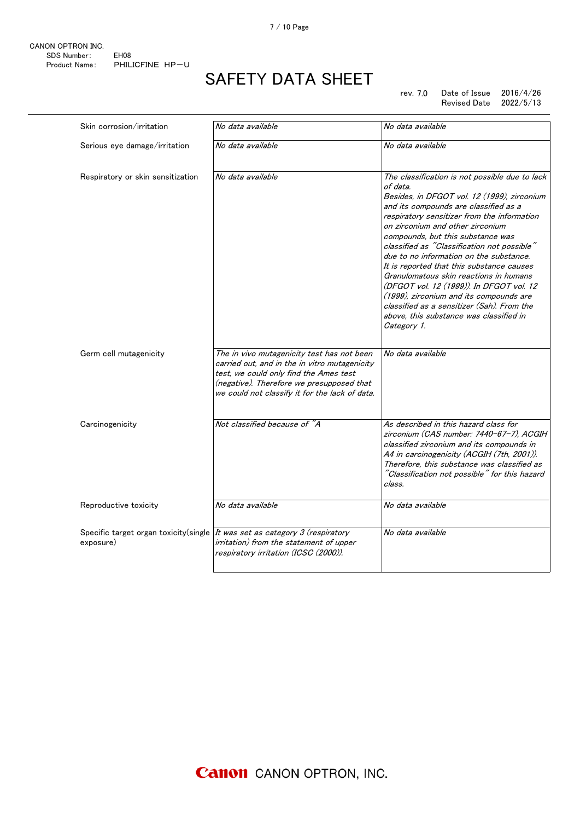rev. 7.0 Date of Issue 2016/4/26 Revised Date 2022/5/13

| Skin corrosion/irritation                           | No data available                                                                                                                                                                                                                    | No data available                                                                                                                                                                                                                                                                                                                                                                                                                                                                                                                                                                                                                                          |
|-----------------------------------------------------|--------------------------------------------------------------------------------------------------------------------------------------------------------------------------------------------------------------------------------------|------------------------------------------------------------------------------------------------------------------------------------------------------------------------------------------------------------------------------------------------------------------------------------------------------------------------------------------------------------------------------------------------------------------------------------------------------------------------------------------------------------------------------------------------------------------------------------------------------------------------------------------------------------|
| Serious eye damage/irritation                       | No data available                                                                                                                                                                                                                    | No data available                                                                                                                                                                                                                                                                                                                                                                                                                                                                                                                                                                                                                                          |
| Respiratory or skin sensitization                   | No data available                                                                                                                                                                                                                    | The classification is not possible due to lack<br>of data.<br>Besides, in DFGOT vol. 12 (1999), zirconium<br>and its compounds are classified as a<br>respiratory sensitizer from the information<br>on zirconium and other zirconium<br>compounds, but this substance was<br>classified as "Classification not possible"<br>due to no information on the substance.<br>It is reported that this substance causes<br>Granulomatous skin reactions in humans<br>(DFGOT vol. 12 (1999)). In DFGOT vol. 12<br>(1999), zirconium and its compounds are<br>classified as a sensitizer (Sah). From the<br>above, this substance was classified in<br>Category 1. |
| Germ cell mutagenicity                              | The in vivo mutagenicity test has not been<br>carried out, and in the in vitro mutagenicity<br>test, we could only find the Ames test<br>(negative). Therefore we presupposed that<br>we could not classify it for the lack of data. | No data available                                                                                                                                                                                                                                                                                                                                                                                                                                                                                                                                                                                                                                          |
| Carcinogenicity                                     | Not classified because of "A                                                                                                                                                                                                         | As described in this hazard class for<br>zirconium (CAS number: 7440-67-7), ACGIH<br>classified zirconium and its compounds in<br>A4 in carcinogenicity (ACGIH (7th, 2001)).<br>Therefore, this substance was classified as<br>"Classification not possible" for this hazard<br>class.                                                                                                                                                                                                                                                                                                                                                                     |
| Reproductive toxicity                               | No data available                                                                                                                                                                                                                    | No data available                                                                                                                                                                                                                                                                                                                                                                                                                                                                                                                                                                                                                                          |
| Specific target organ toxicity (single<br>exposure) | It was set as category 3 (respiratory<br>irritation) from the statement of upper<br>respiratory irritation (ICSC (2000)).                                                                                                            | No data available                                                                                                                                                                                                                                                                                                                                                                                                                                                                                                                                                                                                                                          |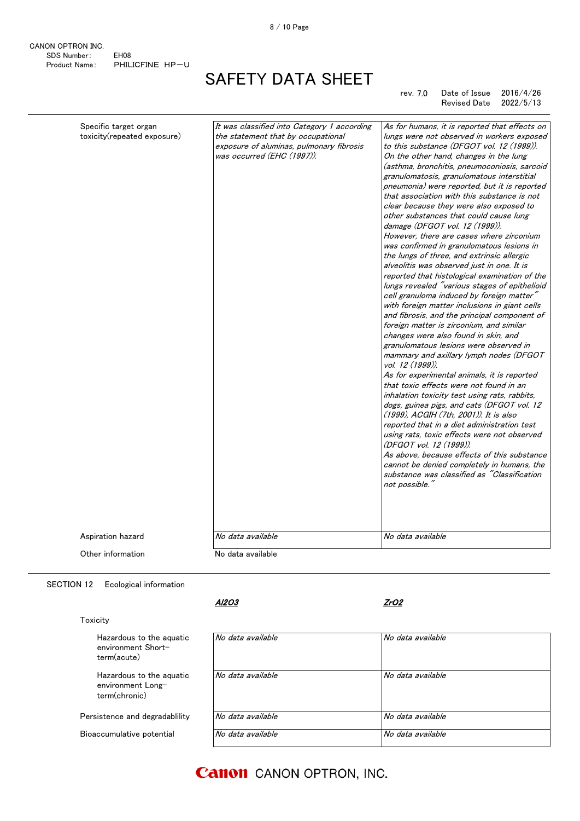CANON OPTRON INC. SDS Number: EH08 Product Name: PHILICFINE HP-U

# SAFETY DATA SHEET

rev. 7.0 Date of Issue 2016/4/26 Revised Date

| Specific target organ<br>toxicity(repeated exposure) | It was classified into Category 1 according<br>the statement that by occupational<br>exposure of aluminas, pulmonary fibrosis<br>was occurred (EHC (1997)). | As for humans, it is reported that effects on<br>lungs were not observed in workers exposed<br>to this substance (DFGOT vol. 12 (1999)).<br>On the other hand, changes in the lung<br>(asthma, bronchitis, pneumoconiosis, sarcoid<br>granulomatosis, granulomatous interstitial<br>pneumonia) were reported, but it is reported<br>that association with this substance is not<br>clear because they were also exposed to<br>other substances that could cause lung<br>damage (DFGOT vol. 12 (1999)).<br>However, there are cases where zirconium<br>was confirmed in granulomatous lesions in<br>the lungs of three, and extrinsic allergic<br>alveolitis was observed just in one. It is<br>reported that histological examination of the<br>lungs revealed "various stages of epithelioid<br>cell granuloma induced by foreign matter"<br>with foreign matter inclusions in giant cells<br>and fibrosis, and the principal component of<br>foreign matter is zirconium, and similar<br>changes were also found in skin, and<br>granulomatous lesions were observed in<br>mammary and axillary lymph nodes (DFGOT<br>vol. 12 (1999)).<br>As for experimental animals, it is reported<br>that toxic effects were not found in an<br>inhalation toxicity test using rats, rabbits,<br>dogs, guinea pigs, and cats (DFGOT vol. 12<br>(1999), ACGIH (7th, 2001)). It is also<br>reported that in a diet administration test<br>using rats, toxic effects were not observed<br>(DFGOT vol. 12 (1999)).<br>As above, because effects of this substance<br>cannot be denied completely in humans, the<br>substance was classified as "Classification<br>not possible." |
|------------------------------------------------------|-------------------------------------------------------------------------------------------------------------------------------------------------------------|--------------------------------------------------------------------------------------------------------------------------------------------------------------------------------------------------------------------------------------------------------------------------------------------------------------------------------------------------------------------------------------------------------------------------------------------------------------------------------------------------------------------------------------------------------------------------------------------------------------------------------------------------------------------------------------------------------------------------------------------------------------------------------------------------------------------------------------------------------------------------------------------------------------------------------------------------------------------------------------------------------------------------------------------------------------------------------------------------------------------------------------------------------------------------------------------------------------------------------------------------------------------------------------------------------------------------------------------------------------------------------------------------------------------------------------------------------------------------------------------------------------------------------------------------------------------------------------------------------------------------------------------------------------------|
| Aspiration hazard                                    | No data available                                                                                                                                           | No data available                                                                                                                                                                                                                                                                                                                                                                                                                                                                                                                                                                                                                                                                                                                                                                                                                                                                                                                                                                                                                                                                                                                                                                                                                                                                                                                                                                                                                                                                                                                                                                                                                                                  |
| Other information                                    | No data available                                                                                                                                           |                                                                                                                                                                                                                                                                                                                                                                                                                                                                                                                                                                                                                                                                                                                                                                                                                                                                                                                                                                                                                                                                                                                                                                                                                                                                                                                                                                                                                                                                                                                                                                                                                                                                    |
|                                                      |                                                                                                                                                             |                                                                                                                                                                                                                                                                                                                                                                                                                                                                                                                                                                                                                                                                                                                                                                                                                                                                                                                                                                                                                                                                                                                                                                                                                                                                                                                                                                                                                                                                                                                                                                                                                                                                    |

SECTION 12 Ecological information

Persistence and degradablility Bioaccumulative potential

Hazardous to the aquatic environment Shortterm(acute)

Hazardous to the aquatic environment Longterm(chronic)

### Toxicity

Al2O3

ZrO2

| No data available | No data available |
|-------------------|-------------------|
| No data available | No data available |
| No data available | No data available |
| No data available | No data available |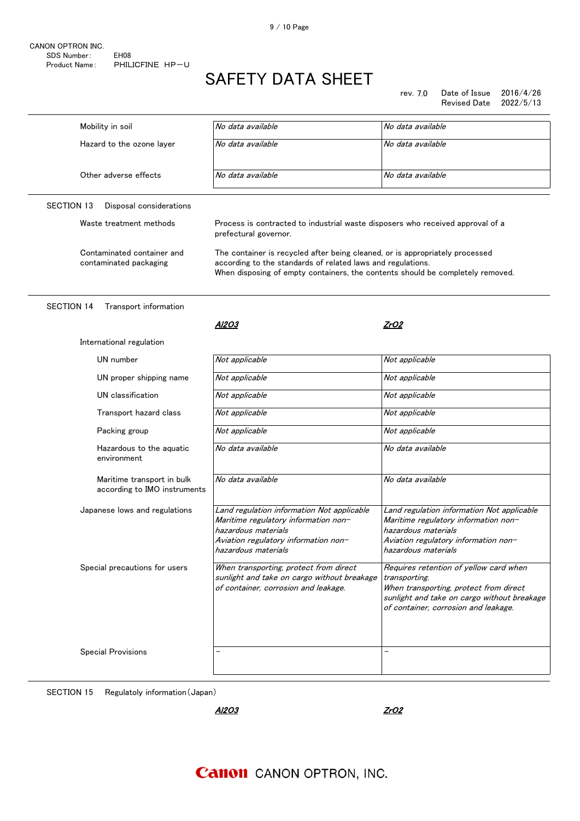rev. 7.0 Date of Issue 2016/4/26 Revised Date 2022/5/13

| Mobility in soil                                           | No data available                                                                                                                                                        | No data available                                                                                                                                                                        |  |
|------------------------------------------------------------|--------------------------------------------------------------------------------------------------------------------------------------------------------------------------|------------------------------------------------------------------------------------------------------------------------------------------------------------------------------------------|--|
| Hazard to the ozone layer                                  | No data available                                                                                                                                                        | No data available                                                                                                                                                                        |  |
|                                                            |                                                                                                                                                                          |                                                                                                                                                                                          |  |
| Other adverse effects                                      | No data available                                                                                                                                                        | No data available                                                                                                                                                                        |  |
|                                                            |                                                                                                                                                                          |                                                                                                                                                                                          |  |
| <b>SECTION 13</b><br>Disposal considerations               |                                                                                                                                                                          |                                                                                                                                                                                          |  |
| Waste treatment methods                                    | Process is contracted to industrial waste disposers who received approval of a<br>prefectural governor.                                                                  |                                                                                                                                                                                          |  |
| Contaminated container and                                 | The container is recycled after being cleaned, or is appropriately processed                                                                                             |                                                                                                                                                                                          |  |
| contaminated packaging                                     | according to the standards of related laws and regulations.<br>When disposing of empty containers, the contents should be completely removed.                            |                                                                                                                                                                                          |  |
|                                                            |                                                                                                                                                                          |                                                                                                                                                                                          |  |
| <b>SECTION 14</b><br>Transport information                 |                                                                                                                                                                          |                                                                                                                                                                                          |  |
|                                                            | Al2O3                                                                                                                                                                    | ZrO2                                                                                                                                                                                     |  |
| International regulation                                   |                                                                                                                                                                          |                                                                                                                                                                                          |  |
|                                                            |                                                                                                                                                                          |                                                                                                                                                                                          |  |
| UN number                                                  | Not applicable                                                                                                                                                           | Not applicable                                                                                                                                                                           |  |
| UN proper shipping name                                    | Not applicable                                                                                                                                                           | Not applicable                                                                                                                                                                           |  |
| UN classification                                          | Not applicable                                                                                                                                                           | Not applicable                                                                                                                                                                           |  |
| Transport hazard class                                     | Not applicable                                                                                                                                                           | Not applicable                                                                                                                                                                           |  |
| Packing group                                              | Not applicable                                                                                                                                                           | Not applicable                                                                                                                                                                           |  |
| Hazardous to the aquatic<br>environment                    | No data available                                                                                                                                                        | No data available                                                                                                                                                                        |  |
| Maritime transport in bulk<br>according to IMO instruments | No data available                                                                                                                                                        | No data available                                                                                                                                                                        |  |
| Japanese lows and regulations                              | Land regulation information Not applicable<br>Maritime regulatory information non-<br>hazardous materials<br>Aviation regulatory information non-<br>hazardous materials | Land regulation information Not applicable<br>Maritime regulatory information non-<br>hazardous materials<br>Aviation regulatory information non-<br>hazardous materials                 |  |
| Special precautions for users                              | When transporting, protect from direct<br>sunlight and take on cargo without breakage<br>of container, corrosion and leakage.                                            | Requires retention of yellow card when<br>transporting.<br>When transporting, protect from direct<br>sunlight and take on cargo without breakage<br>of container, corrosion and leakage. |  |
| <b>Special Provisions</b>                                  |                                                                                                                                                                          |                                                                                                                                                                                          |  |

SECTION 15 Regulatoly information(Japan)

Al2O3

ZrO2